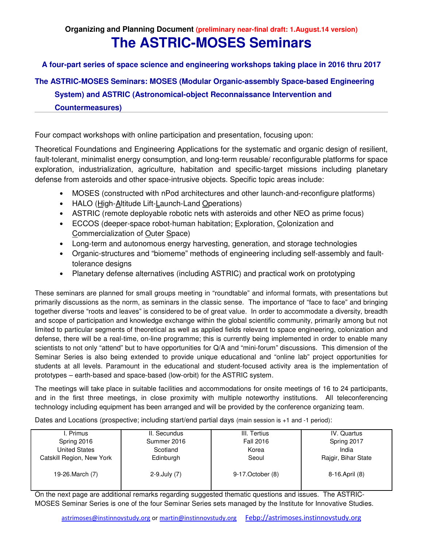**Organizing and Planning Document (preliminary near-final draft: 1.August.14 version)**

# **The ASTRIC-MOSES Seminars**

**A four-part series of space science and engineering workshops taking place in 2016 thru 2017**

# **The ASTRIC-MOSES Seminars: MOSES (Modular Organic-assembly Space-based Engineering**

**System) and ASTRIC (Astronomical-object Reconnaissance Intervention and** 

**Countermeasures)** 

Four compact workshops with online participation and presentation, focusing upon:

Theoretical Foundations and Engineering Applications for the systematic and organic design of resilient, fault-tolerant, minimalist energy consumption, and long-term reusable/ reconfigurable platforms for space exploration, industrialization, agriculture, habitation and specific-target missions including planetary defense from asteroids and other space-intrusive objects. Specific topic areas include:

- MOSES (constructed with nPod architectures and other launch-and-reconfigure platforms)
- HALO (High-Altitude Lift-Launch-Land Operations)
- ASTRIC (remote deployable robotic nets with asteroids and other NEO as prime focus)
- ECCOS (deeper-space robot-human habitation; Exploration, Colonization and Commercialization of Outer Space)
- Long-term and autonomous energy harvesting, generation, and storage technologies
- Organic-structures and "biomeme" methods of engineering including self-assembly and faulttolerance designs
- Planetary defense alternatives (including ASTRIC) and practical work on prototyping

These seminars are planned for small groups meeting in "roundtable" and informal formats, with presentations but primarily discussions as the norm, as seminars in the classic sense. The importance of "face to face" and bringing together diverse "roots and leaves" is considered to be of great value. In order to accommodate a diversity, breadth and scope of participation and knowledge exchange within the global scientific community, primarily among but not limited to particular segments of theoretical as well as applied fields relevant to space engineering, colonization and defense, there will be a real-time, on-line programme; this is currently being implemented in order to enable many scientists to not only "attend" but to have opportunities for Q/A and "mini-forum" discussions. This dimension of the Seminar Series is also being extended to provide unique educational and "online lab" project opportunities for students at all levels. Paramount in the educational and student-focused activity area is the implementation of prototypes – earth-based and space-based (low-orbit) for the ASTRIC system.

The meetings will take place in suitable facilities and accommodations for onsite meetings of 16 to 24 participants, and in the first three meetings, in close proximity with multiple noteworthy institutions. All teleconferencing technology including equipment has been arranged and will be provided by the conference organizing team.

Dates and Locations (prospective; including start/end partial days (main session is +1 and -1 period):

| I. Primus                 | II. Secundus       | III. Tertius      | IV. Quartus         |
|---------------------------|--------------------|-------------------|---------------------|
| Spring 2016               | Summer 2016        | Fall 2016         | Spring 2017         |
| <b>United States</b>      | Scotland           | Korea             | India               |
| Catskill Region, New York | Edinburgh          | Seoul             | Rajgir, Bihar State |
|                           |                    |                   |                     |
| 19-26. March (7)          | $2-9$ . July $(7)$ | 9-17. October (8) | 8-16.April (8)      |
|                           |                    |                   |                     |
|                           |                    |                   |                     |

On the next page are additional remarks regarding suggested thematic questions and issues. The ASTRIC-MOSES Seminar Series is one of the four Seminar Series sets managed by the Institute for Innovative Studies.